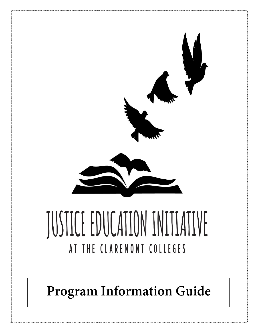

**Program Information Guide**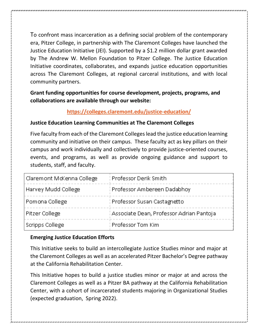To confront mass incarceration as a defining social problem of the contemporary era, Pitzer College, in partnership with The Claremont Colleges have launched the Justice Education Initiative (JEI). Supported by a \$1.2 million dollar grant awarded by The Andrew W. Mellon Foundation to Pitzer College. The Justice Education Initiative coordinates, collaborates, and expands justice education opportunities across The Claremont Colleges, at regional carceral institutions, and with local community partners.

**Grant funding opportunities for course development, projects, programs, and collaborations are available through our website:** 

# **<https://colleges.claremont.edu/justice-education/>**

#### **Justice Education Learning Communities at The Claremont Colleges**

Five faculty from each of the Claremont Colleges lead the justice education learning community and initiative on their campus. These faculty act as key pillars on their campus and work individually and collectively to provide justice-oriented courses, events, and programs, as well as provide ongoing guidance and support to students, staff, and faculty.

| Claremont McKenna College | Professor Derik Smith                    |
|---------------------------|------------------------------------------|
| Harvey Mudd College       | Professor Ambereen Dadabhoy              |
| Pomona College            | Professor Susan Castagnetto              |
| Pitzer College            | Associate Dean, Professor Adrian Pantoja |
| Scripps College           | Professor Tom Kim                        |

# **Emerging Justice Education Efforts**

This Initiative seeks to build an intercollegiate Justice Studies minor and major at the Claremont Colleges as well as an accelerated Pitzer Bachelor's Degree pathway at the California Rehabilitation Center.

This Initiative hopes to build a justice studies minor or major at and across the Claremont Colleges as well as a Pitzer BA pathway at the California Rehabilitation Center, with a cohort of incarcerated students majoring in Organizational Studies (expected graduation, Spring 2022).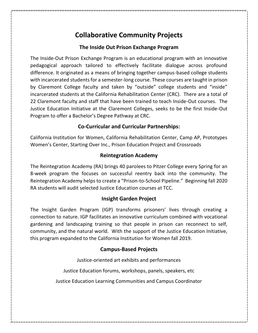# **Collaborative Community Projects**

# **The Inside Out Prison Exchange Program**

The Inside-Out Prison Exchange Program is an educational program with an innovative pedagogical approach tailored to effectively facilitate dialogue across profound difference. It originated as a means of bringing together campus-based college students with incarcerated students for a semester-long course. These courses are taught in prison by Claremont College faculty and taken by "outside" college students and "inside" incarcerated students at the California Rehabilitation Center (CRC). There are a total of 22 Claremont faculty and staff that have been trained to teach Inside-Out courses. The Justice Education Initiative at the Claremont Colleges, seeks to be the first Inside-Out Program to offer a Bachelor's Degree Pathway at CRC.

#### **Co-Curricular and Curricular Partnerships:**

California Institution for Women, California Rehabilitation Center, Camp AP, Prototypes Women's Center, Starting Over Inc., Prison Education Project and Crossroads

#### **Reintegration Academy**

The Reintegration Academy (RA) brings 40 parolees to Pitzer College every Spring for an 8-week program the focuses on successful reentry back into the community. The Reintegration Academy helps to create a "Prison-to-School Pipeline." Beginning fall 2020 RA students will audit selected Justice Education courses at TCC.

# **Insight Garden Project**

The Insight Garden Program (IGP) transforms prisoners' lives through creating a connection to nature. IGP facilitates an innovative curriculum combined with vocational gardening and landscaping training so that people in prison can reconnect to self, community, and the natural world. With the support of the Justice Education Initiative, this program expanded to the California Institution for Women fall 2019.

#### **Campus-Based Projects**

Justice-oriented art exhibits and performances

Justice Education forums, workshops, panels, speakers, etc

Justice Education Learning Communities and Campus Coordinator